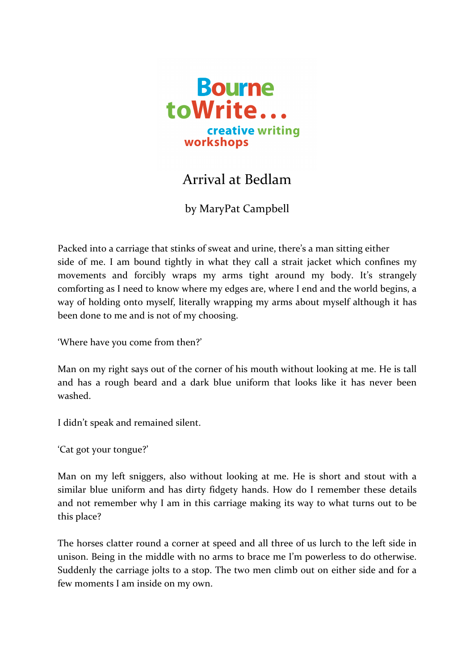

## Arrival at Bedlam

by MaryPat Campbell

Packed into a carriage that stinks of sweat and urine, there's a man sitting either side of me. I am bound tightly in what they call a strait jacket which confines my movements and forcibly wraps my arms tight around my body. It's strangely comforting as I need to know where my edges are, where I end and the world begins, a way of holding onto myself, literally wrapping my arms about myself although it has been done to me and is not of my choosing.

'Where have you come from then?'

Man on my right says out of the corner of his mouth without looking at me. He is tall and has a rough beard and a dark blue uniform that looks like it has never been washed.

I didn't speak and remained silent.

'Cat got your tongue?'

Man on my left sniggers, also without looking at me. He is short and stout with a similar blue uniform and has dirty fidgety hands. How do I remember these details and not remember why I am in this carriage making its way to what turns out to be this place?

The horses clatter round a corner at speed and all three of us lurch to the left side in unison. Being in the middle with no arms to brace me I'm powerless to do otherwise. Suddenly the carriage jolts to a stop. The two men climb out on either side and for a few moments I am inside on my own.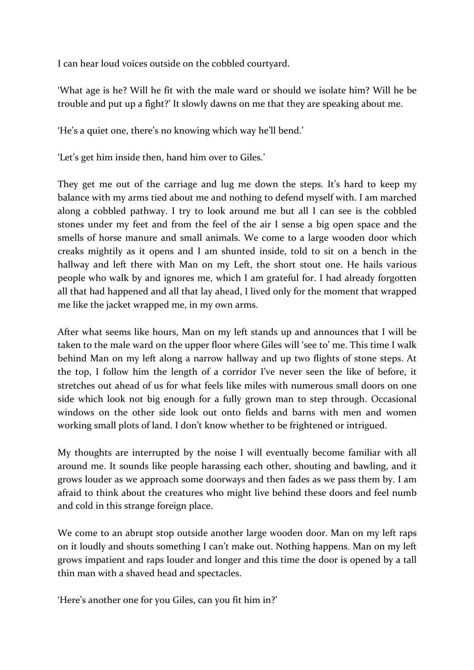I can hear loud voices outside on the cobbled courtyard.

'What age is he? Will he fit with the male ward or should we isolate him? Will he be trouble and put up a fight?' It slowly dawns on me that they are speaking about me.

'He's a quiet one, there's no knowing which way he'll bend.'

'Let's get him inside then, hand him over to Giles.'

They get me out of the carriage and lug me down the steps. It's hard to keep my balance with my arms tied about me and nothing to defend myself with. I am marched along a cobbled pathway. I try to look around me but all I can see is the cobbled stones under my feet and from the feel of the air I sense a big open space and the smells of horse manure and small animals. We come to a large wooden door which creaks mightily as it opens and I am shunted inside, told to sit on a bench in the hallway and left there with Man on my Left, the short stout one. He hails various people who walk by and ignores me, which I am grateful for. I had already forgotten all that had happened and all that lay ahead, I lived only for the moment that wrapped me like the jacket wrapped me, in my own arms.

After what seems like hours, Man on my left stands up and announces that I will be taken to the male ward on the upper floor where Giles will 'see to' me. This time I walk behind Man on my left along a narrow hallway and up two flights of stone steps. At the top, I follow him the length of a corridor I've never seen the like of before, it stretches out ahead of us for what feels like miles with numerous small doors on one side which look not big enough for a fully grown man to step through. Occasional windows on the other side look out onto fields and barns with men and women working small plots of land. I don't know whether to be frightened or intrigued.

My thoughts are interrupted by the noise I will eventually become familiar with all around me. It sounds like people harassing each other, shouting and bawling, and it grows louder as we approach some doorways and then fades as we pass them by. I am afraid to think about the creatures who might live behind these doors and feel numb and cold in this strange foreign place.

We come to an abrupt stop outside another large wooden door. Man on my left raps on it loudly and shouts something I can't make out. Nothing happens. Man on my left grows impatient and raps louder and longer and this time the door is opened by a tall thin man with a shaved head and spectacles.

'Here's another one for you Giles, can you fit him in?'